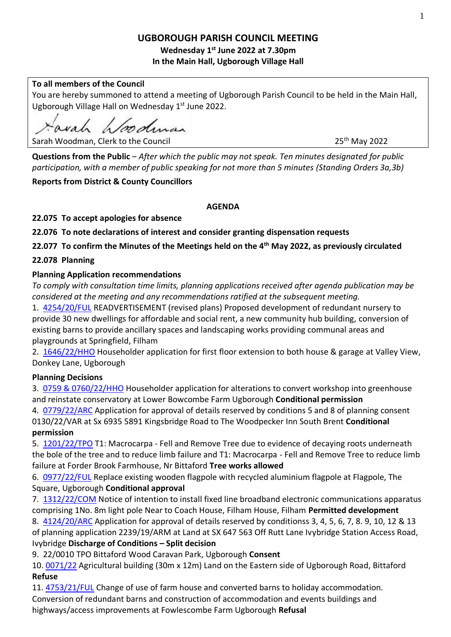# **UGBOROUGH PARISH COUNCIL MEETING**

## **Wednesday 1 st June 2022 at 7.30pm In the Main Hall, Ugborough Village Hall**

## **To all members of the Council**

You are hereby summoned to attend a meeting of Ugborough Parish Council to be held in the Main Hall, Ugborough Village Hall on Wednesday 1<sup>st</sup> June 2022.

avah hoodman

25<sup>th</sup> May 2022

Sarah Woodman, Clerk to the Council

**Questions from the Public** – *After which the public may not speak. Ten minutes designated for public participation, with a member of public speaking for not more than 5 minutes (Standing Orders 3a,3b)*

# **Reports from District & County Councillors**

## **AGENDA**

**22.075 To accept apologies for absence**

**22.076 To note declarations of interest and consider granting dispensation requests** 

**22.077 To confirm the Minutes of the Meetings held on the 4 th May 2022, as previously circulated**

# **22.078 Planning**

## **Planning Application recommendations**

*To comply with consultation time limits, planning applications received after agenda publication may be considered at the meeting and any recommendations ratified at the subsequent meeting.*

1. [4254/20/FUL](http://apps.southhams.gov.uk/PlanningSearchMVC/Home/Details/204254) READVERTISEMENT (revised plans) Proposed development of redundant nursery to provide 30 new dwellings for affordable and social rent, a new community hub building, conversion of existing barns to provide ancillary spaces and landscaping works providing communal areas and playgrounds at Springfield, Filham

2. [1646/22/HHO](http://apps.southhams.gov.uk/PlanningSearchMVC/Home/Details/221646) Householder application for first floor extension to both house & garage at Valley View, Donkey Lane, Ugborough

# **Planning Decisions**

3. [0759 & 0760/22/HHO](http://apps.southhams.gov.uk/PlanningSearchMVC/Home/Details/220759) Householder application for alterations to convert workshop into greenhouse and reinstate conservatory at Lower Bowcombe Farm Ugborough **Conditional permission**

4. [0779/22/ARC](http://apps.southhams.gov.uk/PlanningSearchMVC/Home/Details/220779) Application for approval of details reserved by conditions 5 and 8 of planning consent 0130/22/VAR at Sx 6935 5891 Kingsbridge Road to The Woodpecker Inn South Brent **Conditional permission**

5. [1201/22/TPO](http://apps.southhams.gov.uk/PlanningSearchMVC/Home/Details/221201) T1: Macrocarpa - Fell and Remove Tree due to evidence of decaying roots underneath the bole of the tree and to reduce limb failure and T1: Macrocarpa - Fell and Remove Tree to reduce limb failure at Forder Brook Farmhouse, Nr Bittaford **Tree works allowed**

6. [0977/22/FUL](http://apps.southhams.gov.uk/PlanningSearchMVC/Home/Details/220977) Replace existing wooden flagpole with recycled aluminium flagpole at Flagpole, The Square, Ugborough **Conditional approval**

7. [1312/22/COM](http://apps.southhams.gov.uk/PlanningSearchMVC/Home/Details/221312) Notice of intention to install fixed line broadband electronic communications apparatus comprising 1No. 8m light pole Near to Coach House, Filham House, Filham **Permitted development**

8. [4124/20/ARC](http://apps.southhams.gov.uk/PlanningSearchMVC/Home/Details/204124) Application for approval of details reserved by conditionss 3, 4, 5, 6, 7, 8. 9, 10, 12 & 13 of planning application 2239/19/ARM at Land at SX 647 563 Off Rutt Lane Ivybridge Station Access Road, Ivybridge **Discharge of Conditions – Split decision**

9. 22/0010 TPO Bittaford Wood Caravan Park, Ugborough **Consent**

10. [0071/22](https://www.dartmoor.gov.uk/living-and-working/planning/db-links/application-details?AppNo=0071%2F22) Agricultural building (30m x 12m) Land on the Eastern side of Ugborough Road, Bittaford **Refuse**

11. [4753/21/FUL](http://apps.southhams.gov.uk/PlanningSearchMVC/Home/Details/214753) Change of use of farm house and converted barns to holiday accommodation. Conversion of redundant barns and construction of accommodation and events buildings and highways/access improvements at Fowlescombe Farm Ugborough **Refusal**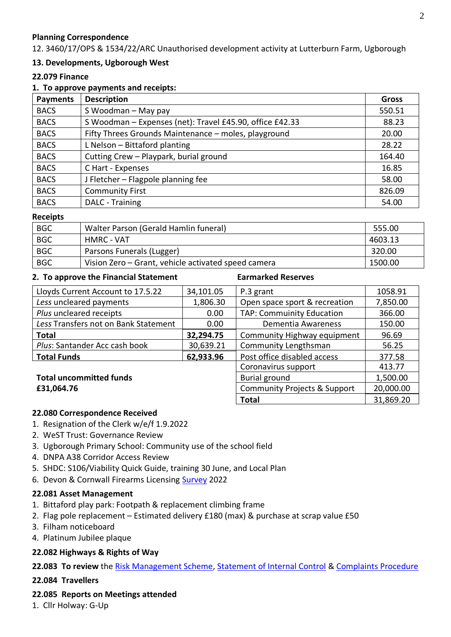## **Planning Correspondence**

12. 3460/17/OPS & 1534/22/ARC Unauthorised development activity at Lutterburn Farm, Ugborough

## **13. Developments, Ugborough West**

### **22.079 Finance**

### **1. To approve payments and receipts:**

| <b>Payments</b> | <b>Description</b>                                       | Gross  |
|-----------------|----------------------------------------------------------|--------|
| <b>BACS</b>     | S Woodman - May pay                                      | 550.51 |
| <b>BACS</b>     | S Woodman - Expenses (net): Travel £45.90, office £42.33 | 88.23  |
| <b>BACS</b>     | Fifty Threes Grounds Maintenance - moles, playground     | 20.00  |
| <b>BACS</b>     | L Nelson - Bittaford planting                            | 28.22  |
| <b>BACS</b>     | Cutting Crew - Playpark, burial ground                   | 164.40 |
| <b>BACS</b>     | C Hart - Expenses                                        | 16.85  |
| <b>BACS</b>     | J Fletcher - Flagpole planning fee                       | 58.00  |
| <b>BACS</b>     | <b>Community First</b>                                   | 826.09 |
| <b>BACS</b>     | DALC - Training                                          | 54.00  |

#### **Receipts**

| <b>BGC</b> | Walter Parson (Gerald Hamlin funeral)               | 555.00  |
|------------|-----------------------------------------------------|---------|
| <b>BGC</b> | HMRC - VAT                                          | 4603.13 |
| <b>BGC</b> | Parsons Funerals (Lugger)                           | 320.00  |
| <b>BGC</b> | Vision Zero – Grant, vehicle activated speed camera | 1500.00 |

#### **2. To approve the Financial Statement Earmarked Reserves**

| Lloyds Current Account to 17.5.22    | 34,101.05                               | P.3 grant                        | 1058.91   |
|--------------------------------------|-----------------------------------------|----------------------------------|-----------|
| Less uncleared payments              | 1,806.30                                | Open space sport & recreation    | 7,850.00  |
| Plus uncleared receipts              | 0.00                                    | <b>TAP: Commuinity Education</b> | 366.00    |
| Less Transfers not on Bank Statement | 0.00                                    | Dementia Awareness               | 150.00    |
| <b>Total</b>                         | 32,294.75                               | Community Highway equipment      | 96.69     |
| Plus: Santander Acc cash book        | 30,639.21                               | Community Lengthsman             | 56.25     |
| <b>Total Funds</b>                   | 62,933.96                               | Post office disabled access      | 377.58    |
|                                      |                                         | Coronavirus support              | 413.77    |
| <b>Total uncommitted funds</b>       | Burial ground                           | 1,500.00                         |           |
| £31,064.76                           | <b>Community Projects &amp; Support</b> | 20,000.00                        |           |
|                                      |                                         | <b>Total</b>                     | 31,869.20 |

### **22.080 Correspondence Received**

- 1. Resignation of the Clerk w/e/f 1.9.2022
- 2. WeST Trust: Governance Review
- 3. Ugborough Primary School: Community use of the school field
- 4. DNPA A38 Corridor Access Review
- 5. SHDC: S106/Viability Quick Guide, training 30 June, and Local Plan
- 6. Devon & Cornwall Firearms Licensing [Survey](https://eur02.safelinks.protection.outlook.com/?url=https%3A%2F%2Fwww.surveymonkey.co.uk%2Fr%2FDCFIREARMS&data=05%7C01%7Ccouncilloradvocateopcc%40devonandcornwall.pnn.police.uk%7C34bff883e90440bfaf7d08da3a76b641%7C4515d0c5b4184cfa9741222da68a18d7%7C0%7C0%7C637886578776781532%7CUnknown%7CTWFpbGZsb3d8eyJWIjoiMC4wLjAwMDAiLCJQIjoiV2luMzIiLCJBTiI6Ik1haWwiLCJXVCI6Mn0%3D%7C3000%7C%7C%7C&sdata=XSBlGRvh3EQDi5Bnd0TxyUrvwD2IMAEFcSFD4r2a1vs%3D&reserved=0) 2022

### **22.081 Asset Management**

- 1. Bittaford play park: Footpath & replacement climbing frame
- 2. Flag pole replacement Estimated delivery £180 (max) & purchase at scrap value £50
- 3. Filham noticeboard
- 4. Platinum Jubilee plaque

## **22.082 Highways & Rights of Way**

22.083 To review the [Risk Management Scheme,](https://ugboroughpc.files.wordpress.com/2022/05/risk-management-schedule.pdf) [Statement of Internal Control](https://ugboroughpc.files.wordpress.com/2022/05/statement-of-internal-control-7.8.19.pdf) & [Complaints Procedure](https://ugboroughpc.files.wordpress.com/2022/05/complaints-procedure-draft.pdf)

### **22.084 Travellers**

### **22.085 Reports on Meetings attended**

1. Cllr Holway: G-Up